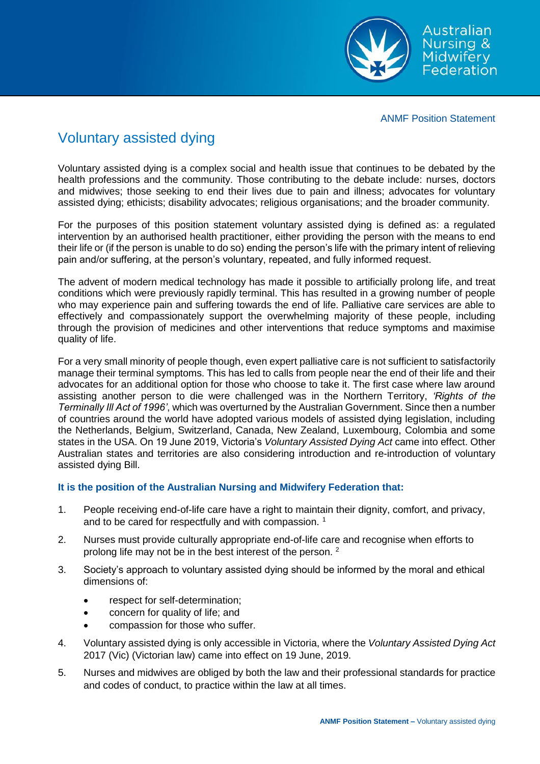

ANMF Position Statement

## Voluntary assisted dying

Voluntary assisted dying is a complex social and health issue that continues to be debated by the health professions and the community. Those contributing to the debate include: nurses, doctors and midwives; those seeking to end their lives due to pain and illness; advocates for voluntary assisted dying; ethicists; disability advocates; religious organisations; and the broader community.

For the purposes of this position statement voluntary assisted dying is defined as: a regulated intervention by an authorised health practitioner, either providing the person with the means to end their life or (if the person is unable to do so) ending the person's life with the primary intent of relieving pain and/or suffering, at the person's voluntary, repeated, and fully informed request.

The advent of modern medical technology has made it possible to artificially prolong life, and treat conditions which were previously rapidly terminal. This has resulted in a growing number of people who may experience pain and suffering towards the end of life. Palliative care services are able to effectively and compassionately support the overwhelming majority of these people, including through the provision of medicines and other interventions that reduce symptoms and maximise quality of life.

For a very small minority of people though, even expert palliative care is not sufficient to satisfactorily manage their terminal symptoms. This has led to calls from people near the end of their life and their advocates for an additional option for those who choose to take it. The first case where law around assisting another person to die were challenged was in the Northern Territory, *'Rights of the Terminally Ill Act of 1996'*, which was overturned by the Australian Government. Since then a number of countries around the world have adopted various models of assisted dying legislation, including the Netherlands, Belgium, Switzerland, Canada, New Zealand, Luxembourg, Colombia and some states in the USA. On 19 June 2019, Victoria's *Voluntary Assisted Dying Act* came into effect. Other Australian states and territories are also considering introduction and re-introduction of voluntary assisted dying Bill.

## **It is the position of the Australian Nursing and Midwifery Federation that:**

- 1. People receiving end-of-life care have a right to maintain their dignity, comfort, and privacy, and to be cared for respectfully and with compassion.<sup>1</sup>
- 2. Nurses must provide culturally appropriate end-of-life care and recognise when efforts to prolong life may not be in the best interest of the person. <sup>2</sup>
- 3. Society's approach to voluntary assisted dying should be informed by the moral and ethical dimensions of:
	- respect for self-determination;
	- concern for quality of life; and
	- compassion for those who suffer.
- 4. Voluntary assisted dying is only accessible in Victoria, where the *Voluntary Assisted Dying Act* 2017 (Vic) (Victorian law) came into effect on 19 June, 2019.
- 5. Nurses and midwives are obliged by both the law and their professional standards for practice and codes of conduct, to practice within the law at all times.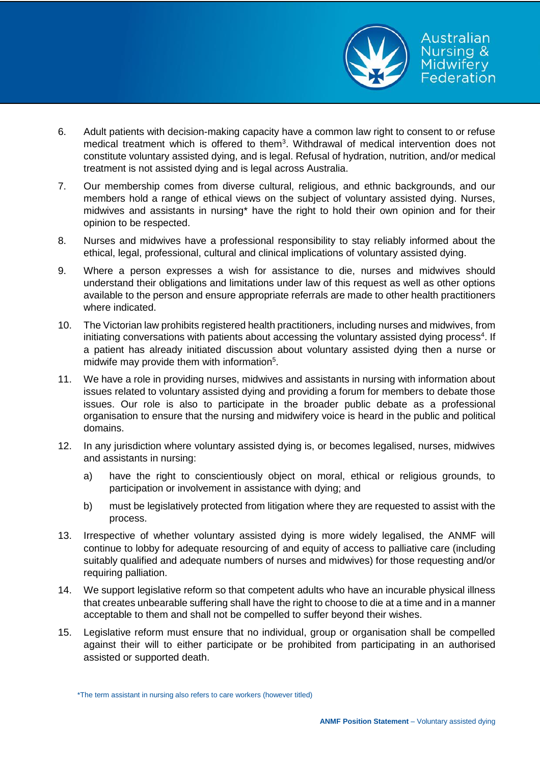

- 6. Adult patients with decision-making capacity have a common law right to consent to or refuse medical treatment which is offered to them<sup>3</sup>. Withdrawal of medical intervention does not constitute voluntary assisted dying, and is legal. Refusal of hydration, nutrition, and/or medical treatment is not assisted dying and is legal across Australia.
- 7. Our membership comes from diverse cultural, religious, and ethnic backgrounds, and our members hold a range of ethical views on the subject of voluntary assisted dying. Nurses, midwives and assistants in nursing\* have the right to hold their own opinion and for their opinion to be respected.
- 8. Nurses and midwives have a professional responsibility to stay reliably informed about the ethical, legal, professional, cultural and clinical implications of voluntary assisted dying.
- 9. Where a person expresses a wish for assistance to die, nurses and midwives should understand their obligations and limitations under law of this request as well as other options available to the person and ensure appropriate referrals are made to other health practitioners where indicated.
- 10. The Victorian law prohibits registered health practitioners, including nurses and midwives, from initiating conversations with patients about accessing the voluntary assisted dying process<sup>4</sup>. If a patient has already initiated discussion about voluntary assisted dying then a nurse or midwife may provide them with information<sup>5</sup>.
- 11. We have a role in providing nurses, midwives and assistants in nursing with information about issues related to voluntary assisted dying and providing a forum for members to debate those issues. Our role is also to participate in the broader public debate as a professional organisation to ensure that the nursing and midwifery voice is heard in the public and political domains.
- 12. In any jurisdiction where voluntary assisted dying is, or becomes legalised, nurses, midwives and assistants in nursing:
	- a) have the right to conscientiously object on moral, ethical or religious grounds, to participation or involvement in assistance with dying; and
	- b) must be legislatively protected from litigation where they are requested to assist with the process.
- 13. Irrespective of whether voluntary assisted dying is more widely legalised, the ANMF will continue to lobby for adequate resourcing of and equity of access to palliative care (including suitably qualified and adequate numbers of nurses and midwives) for those requesting and/or requiring palliation.
- 14. We support legislative reform so that competent adults who have an incurable physical illness that creates unbearable suffering shall have the right to choose to die at a time and in a manner acceptable to them and shall not be compelled to suffer beyond their wishes.
- 15. Legislative reform must ensure that no individual, group or organisation shall be compelled against their will to either participate or be prohibited from participating in an authorised assisted or supported death.

<sup>\*</sup>The term assistant in nursing also refers to care workers (however titled)